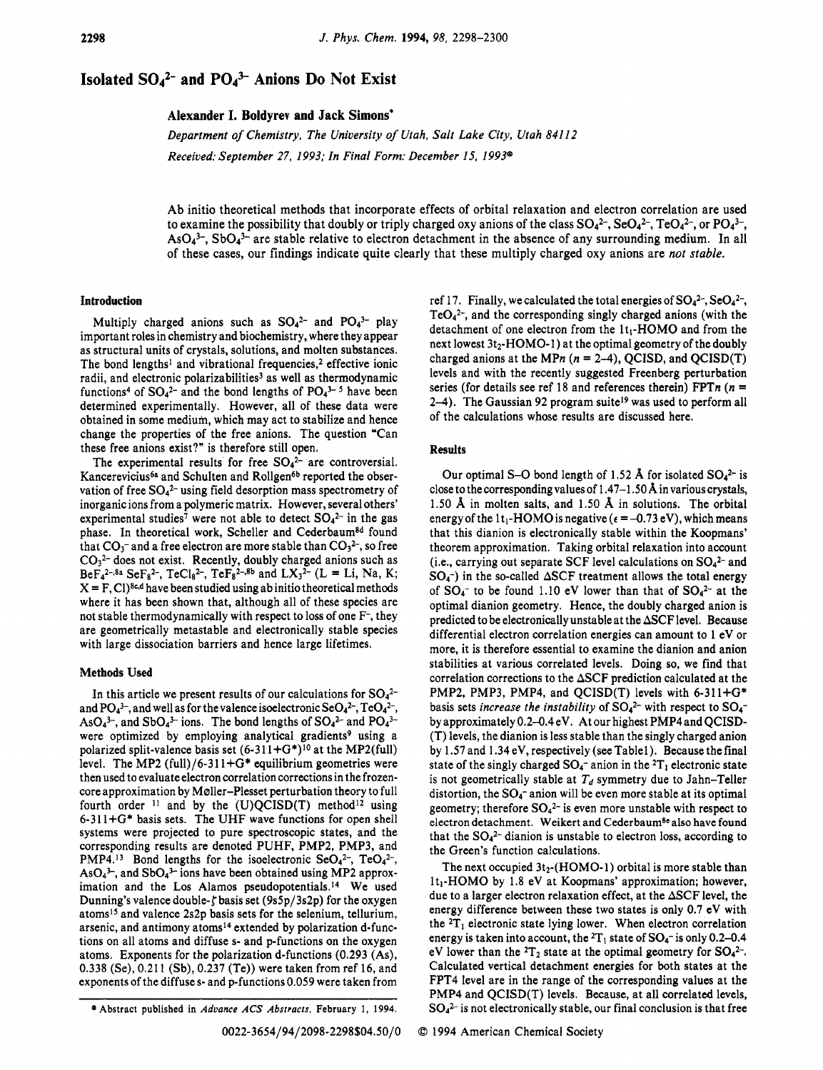## **Isolated**  $SO_4^2$ **- and**  $PO_4^3$ **- Anions Do Not Exist**

**Alexander I. Boldyrev and Jack Simons'** 

*Department of Chemistry, The University of Utah, Salt Lake City, Utah 841 12 Received: September 27, 1993; In Final Form: December 15, 1993"* 

Ab initio theoretical methods that incorporate effects of orbital relaxation and electron correlation are used to examine the possibility that doubly or triply charged oxy anions of the class  $\text{SO}_4^2$ -,  $\text{SO}_4^2$ -,  $\text{TeO}_4^2$ -, or  $\text{PO}_4^3$ - $AsO<sub>4</sub><sup>3-</sup>, SbO<sub>4</sub><sup>3-</sup>$  are stable relative to electron detachment in the absence of any surrounding medium. In all of these cases, our findings indicate quite clearly that these multiply charged oxy anions are *not stable.* 

**Results** 

## **Introduction**

Multiply charged anions such as  $SO_4^2$  and  $PO_4^3$ - play important roles in chemistry and biochemistry, where they appear as structural units of crystals, solutions, and molten substances. The bond lengths<sup>1</sup> and vibrational frequencies,<sup>2</sup> effective ionic radii, and electronic polarizabilities<sup>3</sup> as well as thermodynamic functions<sup>4</sup> of  $SO_4^2$ - and the bond lengths of  $PO_4^{3-5}$  have been determined experimentally. However, all of these data were obtained in some medium, which may act to stabilize and hence change the properties of the free anions. The question "Can these free anions exist?" is therefore still open.

The experimental results for free **S042-** are controversial. Kancerevicius<sup>6a</sup> and Schulten and Rollgen<sup>6b</sup> reported the observation of free **S042-** using field desorption mass spectrometry of inorganic ions from a polymeric matrix. However, several others' experimental studies<sup>7</sup> were not able to detect  $SO_4^2$  in the gas phase. In theoretical work, Scheller and Cederbaum<sup>8d</sup> found that  $CO_3^-$  and a free electron are more stable than  $CO_3^2$ , so free  $CO<sub>3</sub><sup>2-</sup>$  does not exist. Recently, doubly charged anions such as  $BeF_4^{2-\frac{8a}{5}}SeF_8^{2-\frac{1}{5}}$ , TeCl<sub>8</sub><sup>2-</sup>, TeF<sub>8</sub><sup>2-1,8b</sup> and LX<sub>3</sub><sup>2-</sup> (L = Li, Na, K;  $X = F$ , Cl)<sup>8c,d</sup> have been studied using ab initio theoretical methods where it has been shown that, although all of these species are not stable thermodynamically with respect to loss of one F-, they are geometrically metastable and electronically stable species with large dissociation barriers and hence large lifetimes.

## **Methods Used**

**In** this article we present results of our calculations for **S042**  and  $PO_4^{3-}$ , and well as for the valence isoelectronic  $SeO_4^{2-}$ ,  $TeO_4^{2-}$ , AsO $_4$ <sup>3-</sup>, and SbO $_4$ <sup>3-</sup> ions. The bond lengths of SO $_4$ <sup>2-</sup> and PO $_4$ <sup>3-</sup> were optimized by employing analytical gradients<sup>9</sup> using a polarized split-valence basis set  $(6-311+G^*)^{10}$  at the MP2(full) level. The MP2 (full)/6-311+ $G^*$  equilibrium geometries were then used to evaluate electron correlation corrections in the frozencore approximation by Maller-Plesset perturbation theory to full fourth order  $11$  and by the (U)QCISD(T) method<sup>12</sup> using 6-3 11 +G\* basis sets. The UHF wave functions for open shell systems were projected to pure spectroscopic states, and the corresponding results are denoted PUHF, PMP2, PMP3, and PMP4.<sup>13</sup> Bond lengths for the isoelectronic SeO<sub>4</sub><sup>2-</sup>, TeO<sub>4</sub><sup>2-</sup>, AsO<sub>4</sub><sup>3-</sup>, and SbO<sub>4</sub><sup>3-</sup> ions have been obtained using MP2 approximation and the Los Alamos pseudopotentials.14 We used Dunning's valence double- $\zeta$  basis set (9s5p/3s2p) for the oxygen atoms15 and valence 2s2p basis sets for the selenium, tellurium, arsenic, and antimony atoms<sup>14</sup> extended by polarization d-functions **on** all atoms and diffuse **s-** and p-functions **on** the oxygen atoms. Exponents for the polarization d-functions (0.293 (As), 0.338 (Se), 0.21 1 (Sb), 0.237 (Te)) were taken from ref 16, and exponents of the diffuses- and p-functions 0.059 were taken from

Our optimal S-O bond length of 1.52 Å for isolated  $SO_4^2$  is close to the corresponding values of  $1.47-1.50 \text{ Å}$  in various crystals, 1.50 **A** in molten salts, and 1.50 **A** in solutions. The orbital energy of the 1t<sub>1</sub>-HOMO is negative  $\epsilon = -0.73$  eV), which means that this dianion is electronically stable within the Koopmans' theorem approximation. Taking orbital relaxation into account (Le., carrying out separate SCF level calculations **on S042-** and

of the calculations whose results are discussed here.

ref 17. Finally, we calculated the total energies of **S042-,** Se042-,  $TeO<sub>4</sub><sup>2</sup>$ , and the corresponding singly charged anions (with the detachment of one electron from the It,-HOMO and from the next lowest  $3t_2$ -HOMO-1) at the optimal geometry of the doubly charged anions at the MPn  $(n = 2-4)$ , QCISD, and QCISD(T) levels and with the recently suggested Freenberg perturbation series (for details see ref 18 and references therein) FPTn *(n* = 2-4). The Gaussian 92 program suite<sup>19</sup> was used to perform all

 $SO_4^-$ ) in the so-called  $\Delta$ SCF treatment allows the total energy of  $SO_4^-$  to be found 1.10 eV lower than that of  $SO_4^{2-}$  at the optimal dianion geometry. Hence, the doubly charged anion is predicted to be electronically unstable at the ASCF level. Because differential electron correlation energies can amount to 1 eV or more, it is therefore essential to examine the dianion and anion stabilities at various correlated levels. Doing so, we find that correlation corrections to the ASCF prediction calculated at the PMP2, PMP3, PMP4, and QCISD(T) levels with 6-311+G\* basis sets *increase the instability* of **S042-** with respect to **SO4**  by approximately 0.2-0.4 eV. At our highest PMP4 and QCISD- (T) levels, the dianion is less stable than the singly charged anion by 1.57 and 1.34 eV, respectively (see Tablel). Because the final state of the singly charged  $SO_4$ <sup>-</sup> anion in the <sup>2</sup>T<sub>1</sub> electronic state is not geometrically stable at  $T_d$  symmetry due to Jahn-Teller distortion, the **SO4-** anion will be even more stable at its optimal geometry; therefore  $SO_4^2$ <sup>-</sup> is even more unstable with respect to electron detachment. Weikert and Cederbaum<sup>8e</sup> also have found that the **S042-** dianion is unstable to electron loss, according to the Green's function calculations.

The next occupied  $3t_2$ -(HOMO-1) orbital is more stable than  $1t_1$ -HOMO by 1.8 eV at Koopmans' approximation; however, due to a larger electron relaxation effect, at the  $\triangle$ SCF level, the energy difference between these two states is only 0.7 eV with the  ${}^{2}T_{1}$  electronic state lying lower. When electron correlation energy is taken into account, the  ${}^{2}T_{1}$  state of  $SO_{4}$ <sup>-</sup> is only 0.2-0.4 eV lower than the  ${}^{2}T_{2}$  state at the optimal geometry for  $SO_{4}{}^{2-}$ . Calculated vertical detachment energies for both states at the FPT4 level are in the range of the corresponding values at the PMP4 and QCISD(T) levels. Because, at all correlated levels,  $SO_4^{2-}$  is not electronically stable, our final conclusion is that free

*<sup>0</sup>* Abstract published in *Advance ACS Abstracts,* February 1, **1994.**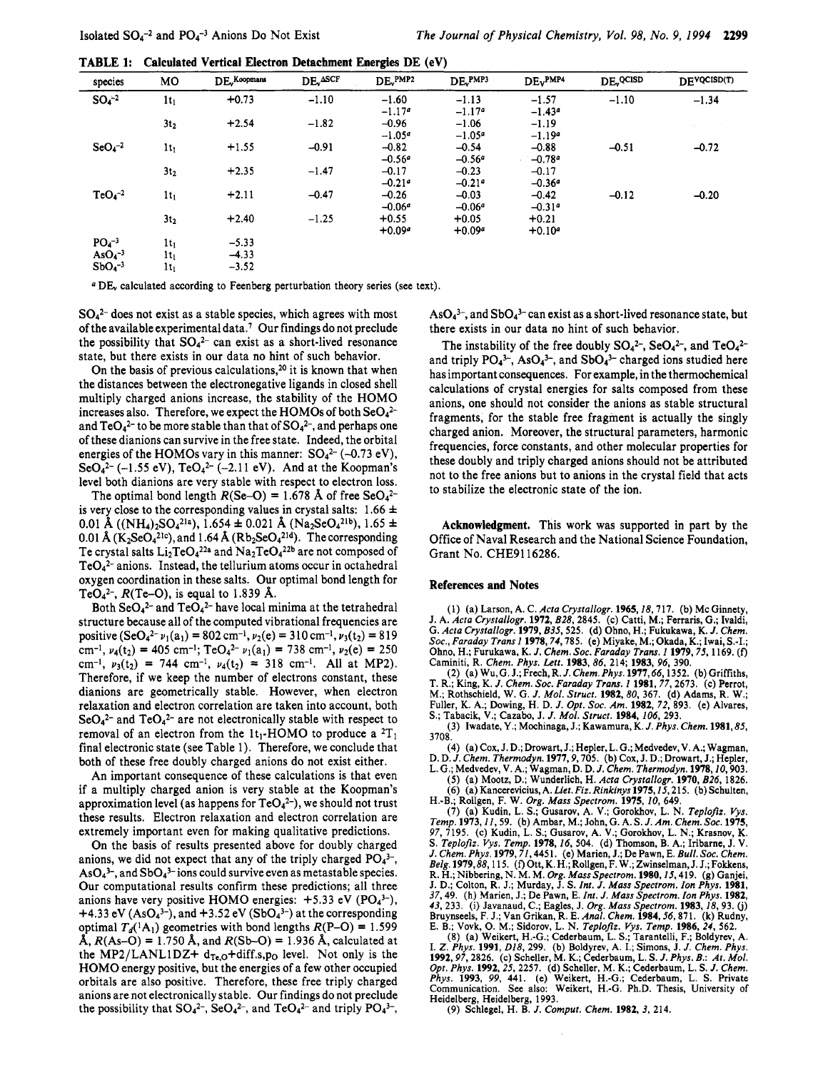**TABLE 1:** Calculated Vertical Electron Detachment Energies DE (eV)

| species     | MО              | $DEv$ Koopmans | DE <sub>v</sub> ASCF | $DE_v^{PMP2}$ | DE <sub>v</sub> PMP3 | $DEv$ <sub>PMP4</sub> | DE QCISD | DEVOCISD(T) |
|-------------|-----------------|----------------|----------------------|---------------|----------------------|-----------------------|----------|-------------|
| $SO_4^{-2}$ | $1t_1$          | $+0.73$        | $-1.10$              | $-1.60$       | $-1.13$              | $-1.57$               | $-1.10$  | $-1.34$     |
|             |                 |                |                      | $-1.17a$      | $-1.17^a$            | $-1.43a$              |          |             |
|             | 3t <sub>2</sub> | $+2.54$        | $-1.82$              | $-0.96$       | $-1.06$              | $-1.19$               |          |             |
|             |                 |                |                      | $-1.05a$      | $-1.05^a$            | $-1.19a$              |          |             |
| $SeO4-2$    | $1t_1$          | $+1.55$        | $-0.91$              | $-0.82$       | $-0.54$              | $-0.88$               | $-0.51$  | $-0.72$     |
|             |                 |                |                      | $-0.56a$      | $-0.56a$             | $-0.78a$              |          |             |
|             | 3t <sub>2</sub> | $+2.35$        | $-1.47$              | $-0.17$       | $-0.23$              | $-0.17$               |          |             |
|             |                 |                |                      | $-0.21a$      | $-0.21a$             | $-0.36a$              |          |             |
| $TeO4-2$    | $1t_1$          | $+2.11$        | $-0.47$              | $-0.26$       | $-0.03$              | $-0.42$               | $-0.12$  | $-0.20$     |
|             |                 |                |                      | $-0.06a$      | $-0.06a$             | $-0.31a$              |          |             |
|             | 3t <sub>2</sub> | $+2.40$        | $-1.25$              | $+0.55$       | $+0.05$              | $+0.21$               |          |             |
|             |                 |                |                      | $+0.09a$      | $+0.09a$             | $+0.10^{a}$           |          |             |
| $PO4-3$     | $1t_1$          | $-5.33$        |                      |               |                      |                       |          |             |
| $AsO4-3$    | $1t_1$          | $-4.33$        |                      |               |                      |                       |          |             |
| $SbO4-3$    | $1t_1$          | $-3.52$        |                      |               |                      |                       |          |             |

<sup>a</sup> DE<sub>v</sub> calculated according to Feenberg perturbation theory series (see text).

 $SO_4^2$  does not exist as a stable species, which agrees with most of the available experimental data.<sup>7</sup> Our findings do not preclude the possibility that  $SO_4^{2-}$  can exist as a short-lived resonance state, but there exists in our data no hint of such behavior.

On the basis of previous calculations,<sup>20</sup> it is known that when the distances between the electronegative ligands in closed shell multiply charged anions increase, the stability of the HOMO increases also. Therefore, we expect the HOMOs of both SeO<sub>42</sub>and  $TeO_4^2$  to be more stable than that of  $SO_4^2$ , and perhaps one of these dianions can survive in the free state. Indeed, the orbital energies of the HOMOs vary in this manner:  $SO_4^2$  (-0.73 eV),  $\text{SeO}_4{}^{2-}$  (-1.55 eV),  $\text{TeO}_4{}^{2-}$  (-2.11 eV). And at the Koopman's level both dianions are very stable with respect to electron loss.

The optimal bond length  $R(Se-O) = 1.678$  Å of free SeO<sub>4</sub><sup>2-</sup> is very close to the corresponding values in crystal salts:  $1.66 \pm$ 0.01 Å ((NH<sub>4</sub>)<sub>2</sub>SO<sub>4</sub><sup>21a</sup>), 1.654  $\pm$  0.021 Å (Na<sub>2</sub>SeO<sub>4</sub><sup>21b</sup>), 1.65  $\pm$ 0.01 Å  $(K_2SeO_4^{21c})$ , and 1.64 Å  $(Rb_2SeO_4^{21d})$ . The corresponding Te crystal salts  $Li_2TeO_4^{22a}$  and  $Na_2TeO_4^{22b}$  are not composed of  $TeO<sub>4</sub><sup>2-</sup> anions. Instead, the tellurium atoms occur in octahedral$ oxygen coordination in these salts. Our optimal bond length for TeO<sub>4</sub><sup>2-</sup>,  $R$ (Te-O), is equal to 1.839 Å.

Both  $\text{SeO}_4{}^{2-}$  and  $\text{TeO}_4{}^{2-}$  have local minima at the tetrahedral structure because all of the computed vibrational frequencies are positive  $(\text{SeO}_4^{2-} \nu_1(a_1) = 802 \text{ cm}^{-1}, \nu_2(e) = 310 \text{ cm}^{-1}, \nu_3(t_2) = 819$ cm<sup>-1</sup>,  $\nu_4(t_2) = 405$  cm<sup>-1</sup>; TeO<sub>4</sub><sup>2-</sup>  $\nu_1(a_1) = 738$  cm<sup>-1</sup>,  $\nu_2(e) = 250$ cm<sup>-1</sup>,  $v_3(t_2)$  = 744 cm<sup>-1</sup>,  $v_4(t_2)$  = 318 cm<sup>-1</sup>. All at MP2). Therefore, if we keep the number of electrons constant, these dianions are geometrically stable. However, when electron relaxation and electron correlation are taken into account, both  $\text{SeO}_4{}^{2-}$  and  $\text{TeO}_4{}^{2-}$  are not electronically stable with respect to removal of an electron from the  $1t_1$ -HOMO to produce a <sup>2</sup>T<sub>1</sub> final electronic state (see Table 1). Therefore, we conclude that both of these free doubly charged anions do not exist either.

An important consequence of these calculations is that even if a multiply charged anion is very stable at the Koopman's approximation level (as happens for  $TeO<sub>4</sub><sup>2-</sup>$ ), we should not trust these results. Electron relaxation and electron correlation are extremely important even for making qualitative predictions.

On the basis of results presented above for doubly charged anions, we did not expect that any of the triply charged  $PO<sub>4</sub><sup>3-</sup>$ ,  $AsO<sub>4</sub><sup>3-</sup>$ , and  $SbO<sub>4</sub><sup>3-</sup>$  ions could survive even as metastable species. Our computational results confirm these predictions; all three anions have very positive HOMO energies:  $+5.33$  eV (PO<sub>4</sub>3-), +4.33 eV (AsO<sub>4</sub><sup>3-</sup>), and +3.52 eV (SbO<sub>4</sub><sup>3-</sup>) at the corresponding optimal  $T_d$ <sup>(1</sup>A<sub>1</sub>) geometries with bond lengths  $R$ (P–O) = 1.599  $\AA$ ,  $R(As-O) = 1.750 \text{ Å}$ , and  $R(Sb-O) = 1.936 \text{ Å}$ , calculated at the MP2/LANL1DZ+  $d_{Te,0}$ +diff.s,p<sub>0</sub> level. Not only is the HOMO energy positive, but the energies of a few other occupied orbitals are also positive. Therefore, these free triply charged anions are not electronically stable. Our findings do not preclude the possibility that  $SO_4^2$ ,  $SeO_4^2$ , and  $TeO_4^2$  and triply  $PO_4^2$ ,

 $AsO<sub>4</sub><sup>3-</sup>$ , and  $SbO<sub>4</sub><sup>3-</sup>$  can exist as a short-lived resonance state, but there exists in our data no hint of such behavior.

The instability of the free doubly  $SO_4^2$ ,  $SeO_4^2$ , and  $TeO_4^2$ and triply  $PO_4^{3-}$ , As $O_4^{3-}$ , and Sb $O_4^{3-}$  charged ions studied here has important consequences. For example, in the thermochemical calculations of crystal energies for salts composed from these anions, one should not consider the anions as stable structural fragments, for the stable free fragment is actually the singly charged anion. Moreover, the structural parameters, harmonic frequencies, force constants, and other molecular properties for these doubly and triply charged anions should not be attributed not to the free anions but to anions in the crystal field that acts to stabilize the electronic state of the ion.

Acknowledgment. This work was supported in part by the Office of Naval Research and the National Science Foundation, Grant No. CHE9116286.

## **References and Notes**

(1) (a) Larson, A. C. Acta Crystallogr. 1965, 18, 717. (b) Mc Ginnety, J. A. Acta Crystallogr. 1972, B28, 2845. (c) Catti, M.; Ferraris, G.; Ivaldi, G. Acta Crystallogr. 1979, B35, 525. (d) Ohno, H.; Fukukawa, K. J. Chem. Soc., Faraday Trans 1 1978, 74, 785. (e) Miyake, M.; Okada, K.; Iwai, S.-I.; Ohno, H.; Furukawa, K. J. Chem. Soc. Faraday Trans. 1 1979, 75, 1169. (f) Caminiti, R. Chem. Phys. Lett. 1983, 86, 214; 1983, 96, 390.

(2) (a) Wu, G. J.; Frech, R. J. Chem. Phys. 1977, 66, 1352. (b) Griffiths, T. R.; King, K. J. Chem. Soc. Faraday Trans. 1 1981, 77, 2673. (c) Perrot, 1.; Rothschield, W. G. J. Mol. Struct. 1982, 80, 367. (d) Adams, R. W.; Nuller, K. A.; Dowing, H. D. J. Opt. Soc. Am. 1982, 72, 893. (e) Alvares, S.; Tabacik, V.; Cazabo, J. J. Mol. Struct. 1984, 106, 293.

(3) Iwadate, Y.; Mochinaga, J.; Kawamura, K. J. Phys. Chem. 1981, 85, 3708

(4) (a) Cox, J. D.; Drowart, J.; Hepler, L. G.; Medvedev, V. A.; Wagman, D. D. J. Chem. Thermodyn. 1977, 9, 705. (b) Cox, J. D.; Drowart, J.; Hepler, L. G.; Medvedev, V. A.; Wagman, D. D. J. Chem. Thermodyn. 1978, 10, 903

(5) (a) Mootz, D.; Wunderlich, H. Acta Crystallogr. 1970, B26, 1826.<br>(6) (a) Mootz, D.; Wunderlich, H. Acta Crystallogr. 1970, B26, 1826.<br>(6) (a) Kancerevicius, A. Liet. Fiz. Rinkinys 1975, 15, 215. (b) Schulten,

(6) (a) Kancerevicius, A. Liet. Fiz. Rinkinys 1975, 15, 215. (b) Schulten,<br>H.-B.; Rollgen, F. W. Org. Mass Spectrom. 1975, 10, 649.<br>(7) (a) Kudin, L. S.; Gusarov, A. V.; Gorokhov, L. N. Teplofiz. Vys.<br>Temp. 1973, 11, 59. Beig. 1979, 30, 113. (1) Ott, K. H.; Koligen, F. w.; Zwinselman, J. J.; Fokkens, R. H.; Nibbering, N. M. M. Org. Mass Spectrom. 1980, 15, 419. (g) Ganjei, J. D.; Colton, R. J.; Murday, J. S. Int. J. Mass Spectrom. Ion Phys E. B.; Vovk, O. M.; Sidorov, L. N. Teplofiz. Vys. Temp. 1986, 24, 562.

E. B.; Vovk, O. M.; Sidorov, L. N. *1 epiojiz. vys. 1emp.* 1200,  $\alpha$ <sup>4</sup>, 302.<br>
(8) (a) Weikert, H.-G.; Cederbaum, L. S.; Tarantelli, F.; Boldyrev, A.<br>
I. Z. Phys. 1991, D18, 299. (b) Boldyrev, A. I.; Simons, J. J. Chem. Heidelberg, Heidelberg, 1993.

(9) Schlegel, H. B. J. Comput. Chem. 1982, 3, 214.